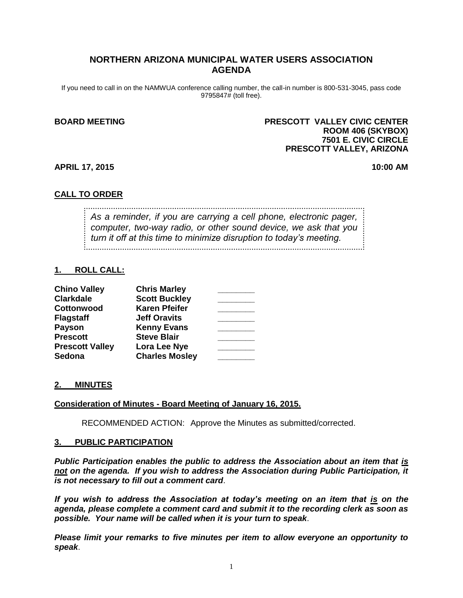# **NORTHERN ARIZONA MUNICIPAL WATER USERS ASSOCIATION AGENDA**

If you need to call in on the NAMWUA conference calling number, the call-in number is 800-531-3045, pass code 9795847# (toll free).

### **BOARD MEETING PRESCOTT VALLEY CIVIC CENTER ROOM 406 (SKYBOX) 7501 E. CIVIC CIRCLE PRESCOTT VALLEY, ARIZONA**

**APRIL 17, 2015 10:00 AM**

### **CALL TO ORDER**

*As a reminder, if you are carrying a cell phone, electronic pager, computer, two-way radio, or other sound device, we ask that you turn it off at this time to minimize disruption to today's meeting.*

### **1. ROLL CALL:**

| <b>Chino Valley</b>    | <b>Chris Marley</b>   |  |
|------------------------|-----------------------|--|
| <b>Clarkdale</b>       | <b>Scott Buckley</b>  |  |
| Cottonwood             | <b>Karen Pfeifer</b>  |  |
| <b>Flagstaff</b>       | <b>Jeff Oravits</b>   |  |
| <b>Payson</b>          | <b>Kenny Evans</b>    |  |
| <b>Prescott</b>        | <b>Steve Blair</b>    |  |
| <b>Prescott Valley</b> | Lora Lee Nye          |  |
| Sedona                 | <b>Charles Mosley</b> |  |

### **2. MINUTES**

### **Consideration of Minutes - Board Meeting of January 16, 2015.**

RECOMMENDED ACTION: Approve the Minutes as submitted/corrected.

#### **3. PUBLIC PARTICIPATION**

*Public Participation enables the public to address the Association about an item that is not on the agenda. If you wish to address the Association during Public Participation, it is not necessary to fill out a comment card*.

*If you wish to address the Association at today's meeting on an item that is on the agenda, please complete a comment card and submit it to the recording clerk as soon as possible. Your name will be called when it is your turn to speak*.

*Please limit your remarks to five minutes per item to allow everyone an opportunity to speak*.